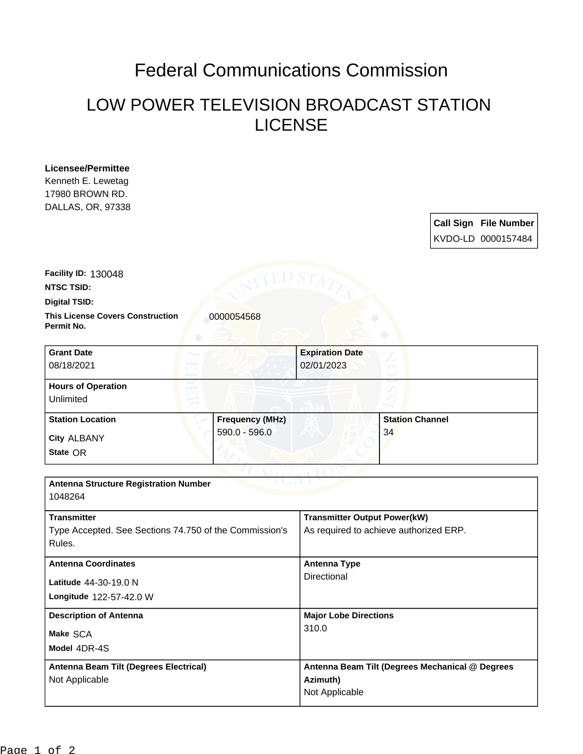## Federal Communications Commission

## LOW POWER TELEVISION BROADCAST STATION LICENSE

**Licensee/Permittee** Kenneth E. Lewetag 17980 BROWN RD. DALLAS, OR, 97338

| <b>Call Sign File Number</b> |
|------------------------------|
| KVDO-LD 0000157484           |

**Facility ID:** 130048

**NTSC TSID:**

**Digital TSID:**

**This License Covers Construction**  0000054568 **Permit No.**

**State** OR **City** ALBANY **Grant Date** 08/18/2021 **Expiration Date** 02/01/2023 **Hours of Operation** Unlimited **Station Location Figure 1.1 Frequency (MHz)** 590.0 - 596.0 **Station Channel** 34

| <b>Antenna Structure Registration Number</b>           |                                                 |  |  |  |
|--------------------------------------------------------|-------------------------------------------------|--|--|--|
| 1048264                                                |                                                 |  |  |  |
| <b>Transmitter</b>                                     | <b>Transmitter Output Power(kW)</b>             |  |  |  |
|                                                        |                                                 |  |  |  |
| Type Accepted. See Sections 74.750 of the Commission's | As required to achieve authorized ERP.          |  |  |  |
| Rules.                                                 |                                                 |  |  |  |
| <b>Antenna Coordinates</b>                             | <b>Antenna Type</b>                             |  |  |  |
|                                                        | Directional                                     |  |  |  |
| Latitude 44-30-19.0 N                                  |                                                 |  |  |  |
| Longitude 122-57-42.0 W                                |                                                 |  |  |  |
| <b>Description of Antenna</b>                          | <b>Major Lobe Directions</b>                    |  |  |  |
|                                                        | 310.0                                           |  |  |  |
| Make SCA                                               |                                                 |  |  |  |
| Model 4DR-4S                                           |                                                 |  |  |  |
| Antenna Beam Tilt (Degrees Electrical)                 | Antenna Beam Tilt (Degrees Mechanical @ Degrees |  |  |  |
| Not Applicable                                         | Azimuth)                                        |  |  |  |
|                                                        | Not Applicable                                  |  |  |  |
|                                                        |                                                 |  |  |  |